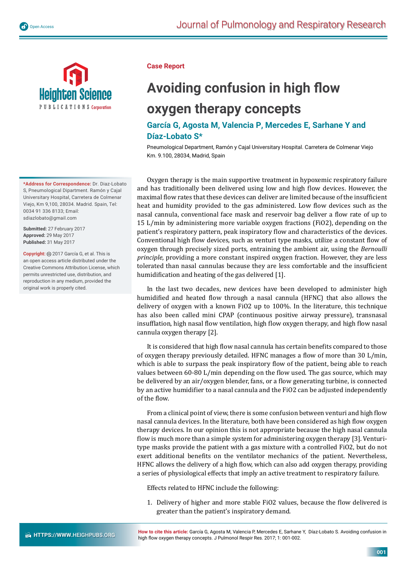

PUBLICATIONS Corporation

**\*Address for Correspondence:** Dr. Diaz-Lobato S, Pneumological Dipartment. Ramón y Cajal Universitary Hospital, Carretera de Colmenar Viejo, Km 9,100, 28034. Madrid. Spain, Tel: 0034 91 336 8133; Email: sdiazlobato@gmail.com

**Submitted:** 27 February 2017 **Approved:** 29 May 2017 **Published:** 31 May 2017

**Copyright:** @ 2017 García G, et al. This is an open access article distributed under the Creative Commons Attribution License, which permits unrestricted use, distribution, and reproduction in any medium, provided the original work is properly cited.

## **Case Report**

## **Avoiding confusion in high flow oxygen therapy concepts**

## **García G, Agosta M, Valencia P, Mercedes E, Sarhane Y and Díaz-Lobato S\***

Pneumological Department, Ramón y Cajal Universitary Hospital. Carretera de Colmenar Viejo Km. 9.100, 28034, Madrid, Spain

Oxygen therapy is the main supportive treatment in hypoxemic respiratory failure and has traditionally been delivered using low and high flow devices. However, the maximal flow rates that these devices can deliver are limited because of the insufficient heat and humidity provided to the gas administered. Low flow devices such as the nasal cannula, conventional face mask and reservoir bag deliver a flow rate of up to 15 L/min by administering more variable oxygen fractions (FiO2), depending on the patient's respiratory pattern, peak inspiratory flow and characteristics of the devices. Conventional high flow devices, such as venturi type masks, utilize a constant flow of oxygen through precisely sized ports, entraining the ambient air, using the *Bernoulli principle*, providing a more constant inspired oxygen fraction. However, they are less tolerated than nasal cannulas because they are less comfortable and the insufficient humidification and heating of the gas delivered [1].

In the last two decades, new devices have been developed to administer high humidified and heated flow through a nasal cannula (HFNC) that also allows the delivery of oxygen with a known FiO2 up to 100%. In the literature, this technique has also been called mini CPAP (continuous positive airway pressure), transnasal insufflation, high nasal flow ventilation, high flow oxygen therapy, and high flow nasal cannula oxygen therapy [2].

It is considered that high flow nasal cannula has certain benefits compared to those of oxygen therapy previously detailed. HFNC manages a flow of more than 30 L/min, which is able to surpass the peak inspiratory flow of the patient, being able to reach values between 60-80 L/min depending on the flow used. The gas source, which may be delivered by an air/oxygen blender, fans, or a flow generating turbine, is connected by an active humidifier to a nasal cannula and the FiO2 can be adjusted independently of the flow.

From a clinical point of view, there is some confusion between venturi and high flow nasal cannula devices. In the literature, both have been considered as high flow oxygen therapy devices. In our opinion this is not appropriate because the high nasal cannula flow is much more than a simple system for administering oxygen therapy [3]. Venturitype masks provide the patient with a gas mixture with a controlled FiO2, but do not exert additional benefits on the ventilator mechanics of the patient. Nevertheless, HFNC allows the delivery of a high flow, which can also add oxygen therapy, providing a series of physiological effects that imply an active treatment to respiratory failure.

Effects related to HFNC include the following:

1. Delivery of higher and more stable FiO2 values, because the flow delivered is greater than the patient's inspiratory demand.

**How to cite this article:** García G, Agosta M, Valencia P, Mercedes E, Sarhane Y, Díaz-Lobato S. Avoiding confusion in high flow oxygen therapy concepts. J Pulmonol Respir Res. 2017; 1: 001-002.